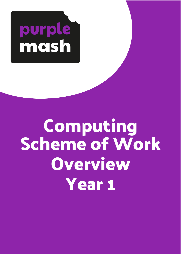

# **Computing Scheme of Work Overview Year 1**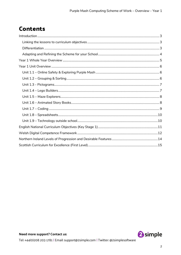## **Contents**

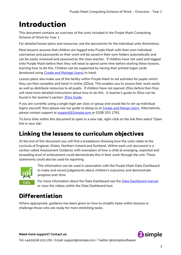# <span id="page-2-0"></span>**Introduction**

This document contains an overview of the units included in the Purple Mash Computing Scheme of Work for Year 1.

For detailed lesson plans and resources, see the documents for the individual units themselves.

Most lessons assume that children are logged onto Purple Mash with their own individual usernames and passwords so their work will be saved in their own folders automatically and can be easily reviewed and assessed by the class teacher. If children have not used and logged onto Purple Mash before then they will need to spend some time before starting these lessons, learning how to do this. Children can be supported by having their printed logon cards (produced using [Create and Manage Users\)](https://www.purplemash.com/site#app/guides/Create_Manage_Users_Guide) to hand.

Lesson plans also make use of the facility within Purple Mash to set activities for pupils which they can then complete and hand-in online (2Dos). This enables you to assess their work easily as well as distribute resources to all pupils. If children have not opened 2Dos before then they will need more detailed instructions about how to do this. A teacher's guide to 2Dos can be found in the teacher's section: [2Dos Guide.](https://www.purplemash.com/site#app/guides/2dos_pdf_Guide)

If you are currently using a single login per class or group and would like to set up individual logins yourself, then please see our guide to doing so at [Create and Mange Users.](https://www.purplemash.com/site#app/guides/Create_Manage_Users_Guide) Alternatively, please contact support at [support@2simple.com](mailto:support@2simple.com) or 0208 203 1781.

To force links within this document to open in a new tab, right-click on the link then select 'Open link in new tab'.

## <span id="page-2-1"></span>**Linking the lessons to curriculum objectives**

At the end of this document you will find a breakdown showing how the units relate to the curricula of England, Wales, Northern Ireland and Scotland. Within each unit document is a section called Assessment Guidance with exemplars of how a child at emerging, expected and exceeding level of achievement could demonstrate this in their work through the unit. These statements could also be used for reporting.



This information can be used in association with the Purple Mash Data Dashboard to make and record judgements about children's outcomes and demonstrate progress over time.

For more information about the Data Dashboard see the **Data Dashboard manual** or view the videos within the Data Dashboard tool.

#### <span id="page-2-2"></span>**Differentiation**

Where appropriate, guidance has been given on how to simplify tasks within lessons or challenge those who are ready for more stretching tasks.



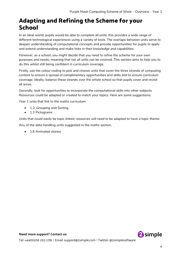#### <span id="page-3-0"></span>**Adapting and Refining the Scheme for your School**

In an ideal world, pupils would be able to complete all units; this provides a wide range of different technological experiences using a variety of tools. The overlaps between units serve to deepen understanding of computational concepts and provide opportunities for pupils to apply and extend understanding and make links in their knowledge and capabilities.

However, as a school, you might decide that you need to refine the scheme for your own purposes and needs, meaning that not all units can be covered. This section aims to help you to do this whilst still being confident in curriculum coverage.

Firstly, use the colour coding to pick and choose units that cover the three strands of computing content to ensure a spread of complimentary opportunities and skills and to ensure curriculum coverage. Ideally, balance these strands over the whole school so that pupils cover and revisit all areas.

Secondly, look for opportunities to incorporate the computational skills into other subjects. Resources could be adapted or created to match your topics. Here are some suggestions:

Year 1 units that link to the maths curriculum:

- 1.2: Grouping and Sorting
- 1.3 Pictograms

Units that could easily be topic linked; resources will need to be adapted to have a topic theme:

Any of the data handling units suggested in the maths section.

• 1.6 Animated stories

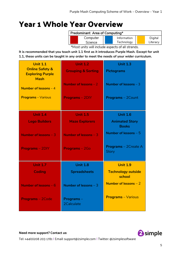## <span id="page-4-0"></span>**Year 1 Whole Year Overview**

| Predominant Area of Computing*                   |          |  |             |          |
|--------------------------------------------------|----------|--|-------------|----------|
|                                                  | Computer |  | Information | Digital  |
|                                                  | Science  |  | Technology  | Literacy |
| *Most units will include aspects of all strands. |          |  |             |          |

**It is recommended that you teach unit 1.1 first as it introduces Purple Mash. Except for unit 1.1, these units can be taught in any order to meet the needs of your wider curriculum.**

| <b>Unit 1.1</b>                                       | <b>Unit 1.2</b>               | <b>Unit 1.3</b>                             |
|-------------------------------------------------------|-------------------------------|---------------------------------------------|
| <b>Online Safety &amp;</b><br><b>Exploring Purple</b> | <b>Grouping &amp; Sorting</b> | <b>Pictograms</b>                           |
| <b>Mash</b>                                           | Number of lessons - 2         | Number of lessons $-3$                      |
| Number of lessons $-4$                                |                               |                                             |
| <b>Programs</b> - Various                             | <b>Programs - 2DIY</b>        | <b>Programs</b> - 2Count                    |
|                                                       |                               |                                             |
| <b>Unit 1.4</b>                                       | <b>Unit 1.5</b>               | <b>Unit 1.6</b>                             |
| <b>Lego Builders</b>                                  | <b>Maze Explorers</b>         | <b>Animated Story</b><br><b>Books</b>       |
| Number of lessons $-3$                                | Number of lessons $-3$        | Number of lessons $-5$                      |
| <b>Programs - 2DIY</b>                                | Programs-2Go                  | <b>Programs</b> – 2Create A<br><b>Story</b> |
| <b>Unit 1.7</b>                                       | <b>Unit 1.8</b>               | <b>Unit 1.9</b>                             |
| <b>Coding</b>                                         | <b>Spreadsheets</b>           | <b>Technology outside</b><br>school         |
| Number of lessons $-6$                                | Number of lessons $-3$        | Number of lessons $-2$                      |
| <b>Programs-2Code</b>                                 | Programs-<br>2Calculate       | <b>Programs</b> - Various                   |

**2** simple

**Need more support? Contact us:**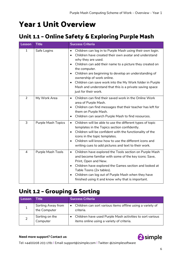## <span id="page-5-0"></span>**Year 1 Unit Overview**

#### <span id="page-5-1"></span>**Unit 1.1 – Online Safety & Exploring Purple Mash**

| <b>Lesson</b>  | <b>Title</b>              | <b>Success Criteria</b>                                                                                                                                                                                                                                                                                                                                                                                                                                                                           |
|----------------|---------------------------|---------------------------------------------------------------------------------------------------------------------------------------------------------------------------------------------------------------------------------------------------------------------------------------------------------------------------------------------------------------------------------------------------------------------------------------------------------------------------------------------------|
| $\mathbf{1}$   | Safe Logins               | Children can log in to Purple Mash using their own login.<br>$\bullet$<br>Children have created their own avatar and understand<br>$\bullet$<br>why they are used.<br>Children can add their name to a picture they created on<br>$\bullet$<br>the computer.<br>Children are beginning to develop an understanding of<br>ownership of work online.<br>Children can save work into the My Work folder in Purple<br>Mash and understand that this is a private saving space<br>just for their work. |
| $\overline{2}$ | My Work Area              | Children can find their saved work in the Online Work<br>$\bullet$<br>area of Purple Mash.<br>Children can find messages that their teacher has left for<br>$\bullet$<br>them on Purple Mash.<br>Children can search Purple Mash to find resources.<br>$\bullet$                                                                                                                                                                                                                                  |
| 3              | <b>Purple Mash Topics</b> | Children will be able to use the different types of topic<br>$\bullet$<br>templates in the Topics section confidently.<br>Children will be confident with the functionality of the<br>$\bullet$<br>icons in the topic templates.<br>Children will know how to use the different icons and<br>$\bullet$<br>writing cues to add pictures and text to their work.                                                                                                                                    |
| $\overline{4}$ | Purple Mash Tools         | Children have explored the Tools section on Purple Mash<br>$\bullet$<br>and become familiar with some of the key icons: Save,<br>Print, Open and New.<br>Children have explored the Games section and looked at<br>$\bullet$<br>Table Toons (2x tables).<br>Children can log out of Purple Mash when they have<br>$\bullet$<br>finished using it and know why that is important.                                                                                                                  |

#### <span id="page-5-2"></span>**Unit 1.2 – Grouping & Sorting**

| Lesson | Title                             | <b>Success Criteria</b>                                                                                |
|--------|-----------------------------------|--------------------------------------------------------------------------------------------------------|
|        | Sorting Away from<br>the Computer | Children can sort various items offline using a variety of<br>criteria.                                |
|        | Sorting on the<br>Computer        | Children have used Purple Mash activities to sort various<br>items online using a variety of criteria. |

#### **Need more support? Contact us:**

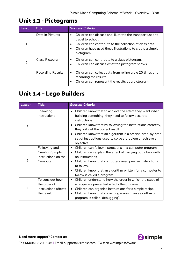#### <span id="page-6-0"></span>**Unit 1.3 - Pictograms**

| <b>Lesson</b> | <b>Title</b>             | <b>Success Criteria</b>                                                                                                                                                                                                            |
|---------------|--------------------------|------------------------------------------------------------------------------------------------------------------------------------------------------------------------------------------------------------------------------------|
|               | Data in Pictures         | Children can discuss and illustrate the transport used to<br>$\bullet$<br>travel to school.<br>Children can contribute to the collection of class data.<br>Children have used these illustrations to create a simple<br>pictogram. |
| 2             | Class Pictogram          | Children can contribute to a class pictogram.<br>$\bullet$<br>Children can discuss what the pictogram shows.                                                                                                                       |
| 3             | <b>Recording Results</b> | Children can collect data from rolling a die 20 times and<br>$\bullet$<br>recording the results.<br>Children can represent the results as a pictogram.                                                                             |

#### <span id="page-6-1"></span>**Unit 1.4 – Lego Builders**

| <b>Lesson</b>  | <b>Title</b>                                                                | <b>Success Criteria</b>                                                                                                                                                                                                                                                                                                                                                   |
|----------------|-----------------------------------------------------------------------------|---------------------------------------------------------------------------------------------------------------------------------------------------------------------------------------------------------------------------------------------------------------------------------------------------------------------------------------------------------------------------|
| 1              | Following<br>Instructions                                                   | Children know that to achieve the effect they want when<br>building something, they need to follow accurate<br>instructions.<br>Children know that by following the instructions correctly,<br>they will get the correct result.<br>Children know that an algorithm is a precise, step-by-step<br>set of instructions used to solve a problem or achieve an<br>objective. |
| $\overline{2}$ | Following and<br><b>Creating Simple</b><br>Instructions on the<br>Computer. | Children can follow instructions in a computer program.<br>Children can explain the effect of carrying out a task with<br>no instructions.<br>Children know that computers need precise instructions<br>to follow.<br>Children know that an algorithm written for a computer to<br>follow is called a program.                                                            |
| 3              | To consider how<br>the order of<br>instructions affects<br>the result.      | Children understand how the order in which the steps of<br>a recipe are presented affects the outcome.<br>Children can organise instructions for a simple recipe.<br>Children know that correcting errors in an algorithm or<br>program is called 'debugging'.                                                                                                            |

**Need more support? Contact us:**

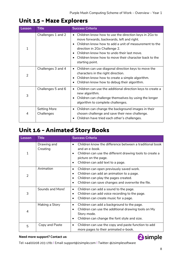#### <span id="page-7-0"></span>**Unit 1.5 – Maze Explorers**

| <b>Lesson</b>  | <b>Title</b>                      | <b>Success Criteria</b>                                                                                                                                                                                                                                                                                                |
|----------------|-----------------------------------|------------------------------------------------------------------------------------------------------------------------------------------------------------------------------------------------------------------------------------------------------------------------------------------------------------------------|
| 1              | Challenges 1 and 2                | Children know how to use the direction keys in 2Go to<br>move forwards, backwards, left and right.<br>Children know how to add a unit of measurement to the<br>direction in 2Go Challenge 2.<br>Children know how to undo their last move.<br>Children know how to move their character back to the<br>starting point. |
| $\overline{2}$ | Challenges 3 and 4                | Children can use diagonal direction keys to move the<br>characters in the right direction.<br>Children know how to create a simple algorithm.<br>Children know how to debug their algorithm.                                                                                                                           |
| 3              | Challenges 5 and 6                | Children can use the additional direction keys to create a<br>new algorithm.<br>Children can challenge themselves by using the longer<br>algorithm to complete challenges.                                                                                                                                             |
| 4              | <b>Setting More</b><br>Challenges | Children can change the background images in their<br>chosen challenge and save their new challenge.<br>Children have tried each other's challenges.                                                                                                                                                                   |

### <span id="page-7-1"></span>**Unit 1.6 – Animated Story Books**

| <b>Lesson</b>  | <b>Title</b>            | <b>Success Criteria</b>                                                                                                                                                                                                               |
|----------------|-------------------------|---------------------------------------------------------------------------------------------------------------------------------------------------------------------------------------------------------------------------------------|
| 1              | Drawing and<br>Creating | Children know the difference between a traditional book<br>and an e-book.<br>Children can use the different drawing tools to create a<br>$\bullet$<br>picture on the page.<br>Children can add text to a page.<br>$\bullet$           |
| $\overline{2}$ | Animation               | Children can open previously saved work.<br>$\bullet$<br>Children can add an animation to a page.<br>$\bullet$<br>Children can play the pages created.<br>$\bullet$<br>Children can save changes and overwrite the file.<br>$\bullet$ |
| 3              | Sounds and More!        | Children can add a sound to the page.<br>$\bullet$<br>Children can add voice recording to the page.<br>$\bullet$<br>Children can create music for a page.<br>$\bullet$                                                                |
| 4              | Making a Story          | Children can add a background to the page.<br>$\bullet$<br>Children can use the additional drawing tools on My<br>$\bullet$<br>Story mode.<br>Children can change the font style and size.<br>$\bullet$                               |
| 5              | Copy and Paste          | Children can use the copy and paste function to add<br>٠<br>more pages to their animated e-book.                                                                                                                                      |

#### **Need more support? Contact us:**

Tel: +44(0)208 203 1781 | Email: support@2simple.com | Twitter: @2simplesoftware

<sup>2</sup>simple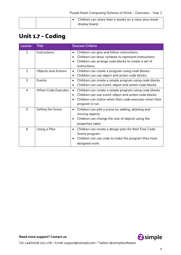| Children can share their e-books on a class story book |
|--------------------------------------------------------|
| display board.                                         |

### <span id="page-8-0"></span>**Unit 1.7 – Coding**

| Lesson         | <b>Title</b>               | <b>Success Criteria</b>                                                                                                                                                                                                   |
|----------------|----------------------------|---------------------------------------------------------------------------------------------------------------------------------------------------------------------------------------------------------------------------|
| 1              | Instructions               | Children can give and follow instructions.<br>$\bullet$<br>Children can draw symbols to represent instructions.<br>$\bullet$<br>Children can arrange code blocks to create a set of<br>$\bullet$<br>instructions.         |
| $\overline{2}$ | <b>Objects and Actions</b> | Children can create a program using code blocks.<br>$\bullet$<br>Children can use object and action code blocks.<br>$\bullet$                                                                                             |
| 3              | Events                     | Children can create a simple program using code blocks.<br>$\bullet$<br>Children can use event, object and action code blocks.<br>$\bullet$                                                                               |
| $\overline{4}$ | <b>When Code Executes</b>  | Children can create a simple program using code blocks.<br>$\bullet$<br>Children can use event, object and action code blocks.<br>Children can notice when their code executes when their<br>$\bullet$<br>program is run. |
| 5              | Setting the Scene          | Children can edit a scene by adding, deleting and<br>moving objects.<br>Children can change the size of objects using the<br>$\bullet$<br>properties table.                                                               |
| 6              | Using a Plan               | Children can create a design plan for their Free Code<br>$\bullet$<br>Scene program.<br>Children can use code to make the program they have<br>$\bullet$<br>designed work.                                                |

**Need more support? Contact us:**

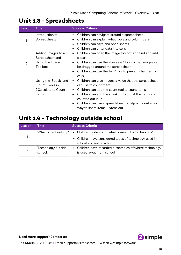#### <span id="page-9-0"></span>**Unit 1.8 – Spreadsheets**

| Lesson        | <b>Title</b>                                                                      | <b>Success Criteria</b>                                                                                                                                                                                                                                                                                                                                                    |
|---------------|-----------------------------------------------------------------------------------|----------------------------------------------------------------------------------------------------------------------------------------------------------------------------------------------------------------------------------------------------------------------------------------------------------------------------------------------------------------------------|
|               | Introduction to<br>Spreadsheets                                                   | Children can navigate around a spreadsheet.<br>٠<br>Children can explain what rows and columns are.                                                                                                                                                                                                                                                                        |
|               |                                                                                   | Children can save and open sheets.<br>Children can enter data into cells.                                                                                                                                                                                                                                                                                                  |
| $\mathcal{P}$ | Adding Images to a<br>Spreadsheet and<br>Using the Image<br>Toolbox               | Children can open the Image toolbox and find and add<br>$\bullet$<br>clipart.<br>Children can use the 'move cell' tool so that images can<br>$\bullet$<br>be dragged around the spreadsheet.<br>Children can use the 'lock' tool to prevent changes to<br>$\bullet$                                                                                                        |
| 3             | Using the 'Speak' and<br>'Count' Tools in<br>2 Calculate to Count<br><b>Items</b> | cells.<br>Children can give images a value that the spreadsheet<br>$\bullet$<br>can use to count them.<br>Children can add the count tool to count items.<br>$\bullet$<br>Children can add the speak tool so that the items are<br>$\bullet$<br>counted out loud.<br>Children can use a spreadsheet to help work out a fair<br>$\bullet$<br>way to share items (Extension) |

#### <span id="page-9-1"></span>**Unit 1.9 – Technology outside school**

| Lesson         | Title                         | <b>Success Criteria</b>                                                              |  |
|----------------|-------------------------------|--------------------------------------------------------------------------------------|--|
|                | What is Technology?           | • Children understand what is meant by 'technology'.                                 |  |
|                |                               | • Children have considered types of technology used in<br>school and out of school.  |  |
| $\overline{2}$ | Technology outside<br>school. | • Children have recorded 4 examples of where technology<br>is used away from school. |  |

**Need more support? Contact us:**

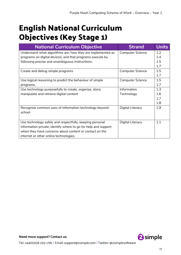# <span id="page-10-0"></span>**English National Curriculum Objectives (Key Stage 1)**

| <b>National Curriculum Objective</b>                           | <b>Strand</b>           | <b>Units</b> |
|----------------------------------------------------------------|-------------------------|--------------|
| Understand what algorithms are; how they are implemented as    | <b>Computer Science</b> | 1.2          |
| programs on digital devices; and that programs execute by      |                         | 1.4          |
| following precise and unambiguous instructions.                |                         | 1.5          |
|                                                                |                         | 1.7          |
| Create and debug simple programs                               | <b>Computer Science</b> | 1.5          |
|                                                                |                         | 1.7          |
| Use logical reasoning to predict the behaviour of simple       | <b>Computer Science</b> | 1.5          |
| programs.                                                      |                         | 1.7          |
| Use technology purposefully to create, organise, store,        | Information             | 1.3          |
| manipulate and retrieve digital content                        | Technology              | 1.6          |
|                                                                |                         | 1.7          |
|                                                                |                         | 1.8          |
| Recognise common uses of information technology beyond         | Digital Literacy        | 1.9          |
| school                                                         |                         |              |
|                                                                |                         |              |
| Use technology safely and respectfully, keeping personal       | Digital Literacy        | 1.1          |
| information private; identify where to go for help and support |                         |              |
| when they have concerns about content or contact on the        |                         |              |
| internet or other online technologies.                         |                         |              |

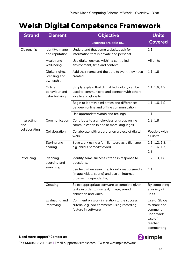# <span id="page-11-0"></span>**Welsh Digital Competence Framework**

| <b>Strand</b>      | <b>Objective</b><br><b>Element</b>            |                                                                                                                      | <b>Units</b>                                                                             |
|--------------------|-----------------------------------------------|----------------------------------------------------------------------------------------------------------------------|------------------------------------------------------------------------------------------|
|                    |                                               | (Learners are able to):                                                                                              | <b>Covered</b>                                                                           |
| Citizenship        | Identity, image<br>and reputation             | Understand that some websites ask for<br>information that is private and personal.                                   | 1.1                                                                                      |
|                    | Health and<br>well-being                      | Use digital devices within a controlled<br>environment, time and context.                                            | All units                                                                                |
|                    | Digital rights,<br>licensing and<br>ownership | Add their name and the date to work they have<br>created.                                                            | 1.1, 1.6                                                                                 |
|                    | Online<br>behaviour and<br>cyberbullying      | Simply explain that digital technology can be<br>used to communicate and connect with others<br>locally and globally | 1.1, 1.6, 1.9                                                                            |
|                    |                                               | Begin to identify similarities and differences<br>between online and offline communication.                          | 1.1, 1.6, 1.9                                                                            |
|                    |                                               | Use appropriate words and feelings.                                                                                  | 1.1                                                                                      |
| Interacting<br>and | Communication                                 | Contribute to a whole-class or group online<br>communication in one or more languages.                               | 1.3, 1.8                                                                                 |
| collaborating      | Collaboration                                 | Collaborate with a partner on a piece of digital<br>work.                                                            | Possible with<br>all units                                                               |
|                    | Storing and<br>sharing                        | Save work using a familiar word as a filename,<br>e.g. child's name/keyword.                                         | 1.1, 1.2, 1.3,<br>1.5, 1.6, 1.7,<br>1.8                                                  |
| Producing          | Planning,<br>sourcing and<br>searching        | Identify some success criteria in response to<br>questions.                                                          | 1.2, 1.3, 1.8                                                                            |
|                    |                                               | Use text when searching for information/media<br>(image, video, sound) and use an internet<br>browser independently, | 1.1                                                                                      |
|                    | Creating                                      | Select appropriate software to complete given<br>tasks in order to use text, image, sound,<br>animation and video.   | By completing<br>a variety of<br>units                                                   |
|                    | Evaluating and<br>improving                   | Comment on work in relation to the success<br>criteria, e.g. add comments using recording<br>feature in software.    | Use of 2Blog<br>to share and<br>comment<br>upon work.<br>Use of<br>teacher<br>commenting |



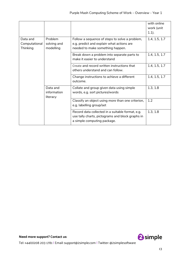|                                       |                                     |                                                                                                                                     | with online<br>work (unit<br>$1.1$ ). |
|---------------------------------------|-------------------------------------|-------------------------------------------------------------------------------------------------------------------------------------|---------------------------------------|
| Data and<br>Computational<br>Thinking | Problem<br>solving and<br>modelling | Follow a sequence of steps to solve a problem,<br>e.g. predict and explain what actions are<br>needed to make something happen.     | 1.4, 1.5, 1.7                         |
|                                       |                                     | Break down a problem into separate parts to<br>make it easier to understand                                                         | 1.4, 1.5, 1.7                         |
|                                       |                                     | Create and record written instructions that<br>others understand and can follow.                                                    | 1.4, 1.5, 1.7                         |
|                                       |                                     | Change instructions to achieve a different<br>outcome.                                                                              | 1.4, 1.5, 1.7                         |
|                                       | Data and<br>information<br>literacy | Collate and group given data using simple<br>words, e.g. sort pictures/words                                                        | 1.3, 1.8                              |
|                                       |                                     | Classify an object using more than one criterion,<br>e.g. labelling group/set                                                       | 1.2                                   |
|                                       |                                     | Record data collected in a suitable format, e.g.<br>use tally charts, pictograms and block graphs in<br>a simple computing package. | 1.3, 1.8                              |

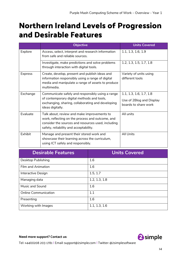## <span id="page-13-0"></span>**Northern Ireland Levels of Progression and Desirable Features**

|                | <b>Objective</b>                                                                                                                                                                                | <b>Units Covered</b>                                                        |
|----------------|-------------------------------------------------------------------------------------------------------------------------------------------------------------------------------------------------|-----------------------------------------------------------------------------|
| Explore        | Access, select, interpret and research information<br>from safe and reliable sources.                                                                                                           | 1.1, 1.3, 1.6, 1.9                                                          |
|                | Investigate, make predictions and solve problems<br>through interaction with digital tools.                                                                                                     | 1.2, 1.3, 1.5, 1.7, 1.8                                                     |
| <b>Express</b> | Create, develop, present and publish ideas and<br>information responsibly using a range of digital<br>media and manipulate a range of assets to produce<br>multimedia.                          | Variety of units using<br>different tools                                   |
| Exchange       | Communicate safely and responsibly using a range<br>of contemporary digital methods and tools,<br>exchanging, sharing, collaborating and developing<br>ideas digitally.                         | 1.1, 1.3, 1.6, 1.7, 1.8<br>Use of 2Blog and Display<br>boards to share work |
| Evaluate       | Talk about, review and make improvements to<br>work, reflecting on the process and outcome, and<br>consider the sources and resources used, including<br>safety, reliability and acceptability. | All units                                                                   |
| Exhibit        | Manage and present their stored work and<br>showcase their learning across the curriculum,<br>using ICT safely and responsibly.                                                                 | <b>All Units</b>                                                            |

| <b>Desirable Features</b>   | <b>Units Covered</b> |
|-----------------------------|----------------------|
| <b>Desktop Publishing</b>   | 1.6                  |
| <b>Film and Animation</b>   | 1.6                  |
| Interactive Design          | 1.5, 1.7             |
| Managing data               | 1.2, 1.3, 1.8        |
| Music and Sound             | 1.6                  |
| <b>Online Communication</b> | 1.1                  |
| Presenting                  | 1.6                  |
| Working with Images         | 1.1, 1.3, 1.6        |

**Need more support? Contact us:**

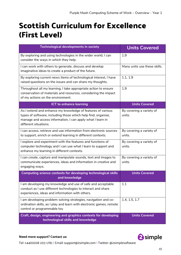## <span id="page-14-0"></span>**Scottish Curriculum for Excellence (First Level)**

| Technological developments in society                                                                                                                                                                               | <b>Units Covered</b>               |
|---------------------------------------------------------------------------------------------------------------------------------------------------------------------------------------------------------------------|------------------------------------|
| By exploring and using technologies in the wider world, I can<br>consider the ways in which they help.                                                                                                              | 1.9                                |
| I can work with others to generate, discuss and develop<br>imaginative ideas to create a product of the future.                                                                                                     | Many units use these skills.       |
| By exploring current news items of technological interest, I have<br>raised questions on the issues and can share my thoughts.                                                                                      | 1.1, 1.9                           |
| Throughout all my learning, I take appropriate action to ensure<br>conservation of materials and resources, considering the impact<br>of my actions on the environment.                                             | 1.9                                |
| <b>ICT to enhance learning</b>                                                                                                                                                                                      | <b>Units Covered</b>               |
| As I extend and enhance my knowledge of features of various<br>types of software, including those which help find, organise,<br>manage and access information, I can apply what I learn in<br>different situations. | By covering a variety of<br>units. |
| I can access, retrieve and use information from electronic sources<br>to support, enrich or extend learning in different contexts.                                                                                  | By covering a variety of<br>units. |
| I explore and experiment with the features and functions of<br>computer technology and I can use what I learn to support and<br>enhance my learning in different contexts.                                          | By covering a variety of<br>units. |
| I can create, capture and manipulate sounds, text and images to<br>communicate experiences, ideas and information in creative and<br>engaging ways.                                                                 | By covering a variety of<br>units. |
| Computing science contexts for developing technological skills<br>and knowledge                                                                                                                                     | <b>Units Covered</b>               |
| I am developing my knowledge and use of safe and acceptable<br>conduct as I use different technologies to interact and share<br>experiences, ideas and information with others.                                     | 1.1                                |
| I am developing problem-solving strategies, navigation and co-<br>ordination skills, as I play and learn with electronic games, remote<br>control or programmable toy                                               | 1.4, 1.5, 1.7                      |
| Craft, design, engineering and graphics contexts for developing<br>technological skills and knowledge                                                                                                               | <b>Units Covered</b>               |

#### **Need more support? Contact us:**